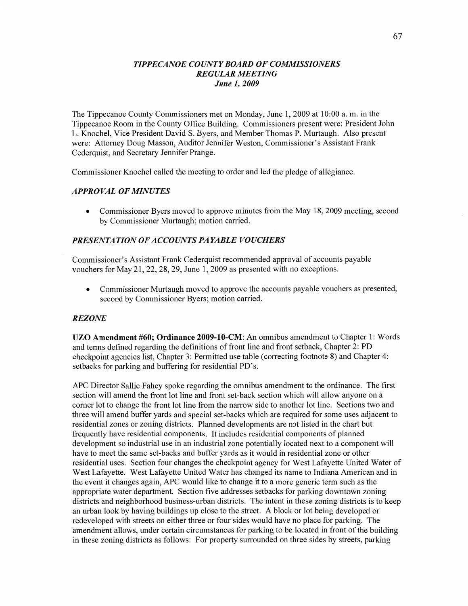### *TIPPECANOE COUNTY BOARD* OF *COMMISSIONERS REGULAR MEETING June* 1, *2009*

The Tippecanoe County Commissioners met on Monday, June 1, 2009 at 10:00 a. m. in the Tippecanoe Room in the County Office Building. Commissioners present were: President John L. Knochel, Vice President David S. Byers, and Member Thomas P. Murtaugh. Also present were: Attorney Doug Masson, Auditor Jennifer Weston, Commissioner's Assistant Frank Cederquist, and Secretary Jennifer Prange.

Commissioner Knochel called the meeting to order and led the pledge of allegiance.

#### *APPROVAL* OF *MINUTES*

**0** Commissioner Byers moved to approve minutes from the May 18, 2009 meeting, second by Commissioner Murtaugh; motion carried.

# **PRESENTATION OF ACCOUNTS PAYABLE VOUCHERS**

Commissioner's Assistant Frank Cederquist recommended approval of accounts payable vouchers for May 21, 22, 28, 29, June 1, 2009 as presented with no exceptions.

Commissioner Murtaugh moved to approve the accounts payable vouchers as presented, second by Commissioner Byers; motion carried.

#### *REZONE*

UZO **Amendment #60; Ordinance 2009-10-CM:** An omnibus amendment to Chapter 1: Words and terms defined regarding the definitions of front line and front setback, Chapter 2: PD checkpoint agencies list, Chapter 3: Permitted use table (correcting footnote 8) and Chapter 4: setbacks for parking and buffering for residential PD's.

APC Director Sallie Fahey spoke regarding the omnibus amendment to the ordinance. The first section will amend the front lot line and front set-back section which will allow anyone on a corner lot to change the front lot line from the narrow side to another lot line. Sections two and three will amend buffer yards and special set-backs which are required for some uses adjacent to residential zones or zoning districts. Planned developments are not listed in the chart but frequently have residential components. It includes residential components of planned development so industrial use in an industrial zone potentially located next to a component will have to meet the same set-backs and buffer yards as it would in residential zone or other residential uses. Section four changes the checkpoint agency for West Lafayette United Water of West Lafayette. West Lafayette United Water has changed its name to Indiana American and in the event it changes again, APC would like to change it to a more generic term such as the appropriate water department. Section five addresses setbacks for parking downtown zoning districts and neighborhood business-urban districts. The intent in these zoning districts is to keep an urban look by having buildings up close to the street. **A** block or lot being developed or redeveloped with streets on either three or four sides would have no place for parking. The amendment allows, under certain circumstances for parking to be located in front of the building in these zoning districts as follows: For property surrounded on three sides by streets, parking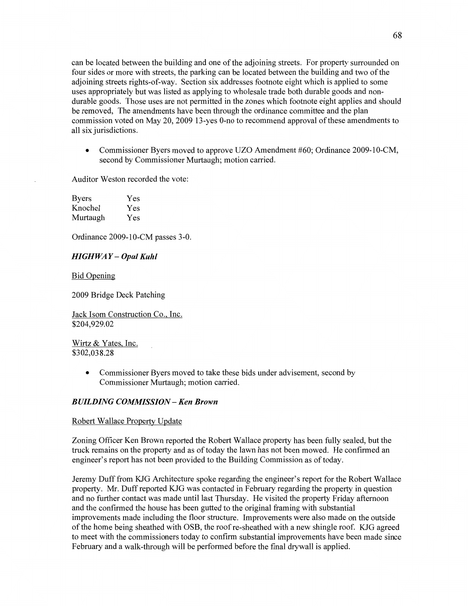can be located between the building and one of the adjoining streets. For property surrounded on four sides or more with streets, the parking can be located between the building and two of the adjoining streets rights-of-way. Section six addresses footnote eight which is applied to some uses appropriately but was listed as applying to wholesale trade both durable goods and nondurable goods. Those uses are not permitted in the **zones** which footnote eight applies and should be removed, The amendments have been through the ordinance committee and the plan commission voted on May 20, 2009 13-yes O-no to recommend approval of these amendments to all six jurisdictions.

**0** Commissioner Byers moved to approve UZO Amendment #60; Ordinance 2009-10-CM, second by Commissioner Murtaugh; motion carried.

Auditor Weston recorded the vote:

| <b>Byers</b> | Yes |
|--------------|-----|
| Knochel      | Yes |
| Murtaugh     | Yes |

Ordinance 2009-10-CM passes 3-0.

# *HIGHWAY* **—** *Opal Kuhl*

Bid Qpening

2009 Bridge Deck Patching

Jack Isom Construction Co.. **Inc.**  \$204,929.02

Wirtz & Yates, Inc. \$302,038.28

> **0** Commissioner Byers moved to take these bids under advisement, second by Commissioner Murtaugh; motion carried.

# *BUILDING COMMISSION* **—** Ken *Brown*

#### Robert Wallace Property Update

Zoning Officer Ken Brown reported the Robert Wallace property has been fillly sealed, but the truck remains on the property and as of today the lawn has not **been** mowed. He confirmed an engineer's report has not been provided to the Building Commission as of today.

Jeremy Duff from KJG Architecture spoke regarding the engineer's report for the Robert Wallace property. Mr. **Duff** reported KJG was contacted in February regarding the property in question and no further contact was made until last Thursday. He visited the property Friday afternoon and the confirmed the house has been gutted to the original framing with substantial improvements made including the floor structure. Improvements were also made on the outside of the home being sheathed with OSB, the roof re-sheathed with a new shingle roof. KJG agreed to meet with the commissioners today to confirm substantial improvements have been made since February and a walk-through will be performed before the final drywall is applied.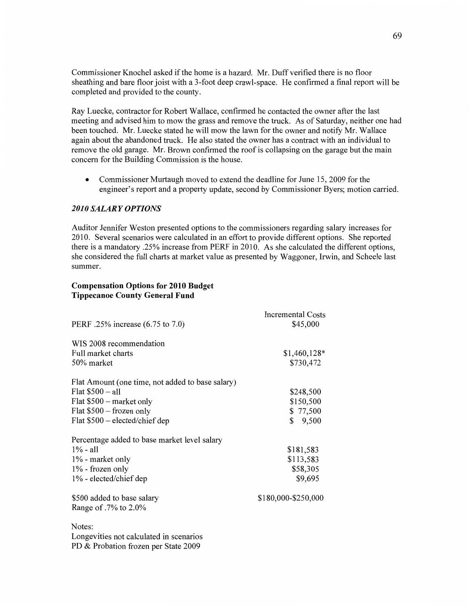Commissioner Knochel **asked** if the home is a hazard. Mr. Duff verified there is no floor sheathing and bare floor joist with a 3-foot deep crawl-space. He confirmed **a** final report will be completed and provided to the county.

Ray Luecke, contractor for Robert Wallace, confirmed he contacted the owner after the last meeting and advised him to mow the grass and remove the truck. As of Saturday, neither one had been touched. Mr. Luecke stated he will mow the lawn for the owner and notify Mr. Wallace again about the abandoned truck. He also stated the owner has a contract with an individual to remove the old **garage.** Mr. Brown confirmed the roof is collapsing on the garage but the main concern for the Building Commission is the house.

• Commissioner Murtaugh moved to extend the deadline for June 15, 2009 for the engineer's report and a property update, second by Commissioner Byers; motion carried.

#### *2010 SALARY OPTIONS*

Auditor Jennifer Weston presented options to the commissioners regarding salary increases for 2010. Several scenarios were calculated in an effort to provide different options. She reported there is a mandatory 25% increase from PERF in 2010. As she calculated the different options, she considered the full charts at market value as presented by Waggoner, Irwin, and Scheele last summer.

### **Compensation Options** for **2010 Budget Tippecanoe County General Fund**

|                                                  | Incremental Costs   |
|--------------------------------------------------|---------------------|
| PERF .25% increase (6.75 to 7.0)                 | \$45,000            |
| WIS 2008 recommendation                          |                     |
| Full market charts                               | $$1,460,128*$       |
| 50% market                                       | \$730,472           |
| Flat Amount (one time, not added to base salary) |                     |
| Flat $$500 - a11$                                | \$248,500           |
| Flat \$500 – market only                         | \$150,500           |
| Flat $$500$ – frozen only                        | \$77,500            |
| Flat $$500$ – elected/chief dep                  | \$<br>9,500         |
| Percentage added to base market level salary     |                     |
| $1\%$ - all                                      | \$181,583           |
| 1% - market only                                 | \$113,583           |
| 1% - frozen only                                 | \$58,305            |
| 1% - elected/chief dep                           | \$9,695             |
| \$500 added to base salary                       | \$180,000-\$250,000 |
| Range of .7% to 2.0%                             |                     |
| Notes:                                           |                     |
| Longevities not calculated in scenarios          |                     |
| PD & Probation frozen per State 2009             |                     |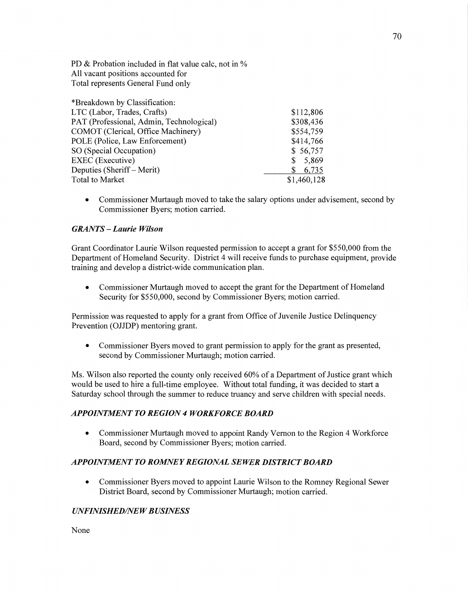PD & Probation included in flat value calc, not in **%**  All **vacant** positions accounted for Total represents General **Fund** only

| *Breakdown by Classification:            |             |
|------------------------------------------|-------------|
| LTC (Labor, Trades, Crafts)              | \$112,806   |
| PAT (Professional, Admin, Technological) | \$308,436   |
| COMOT (Clerical, Office Machinery)       | \$554,759   |
| POLE (Police, Law Enforcement)           | \$414,766   |
| SO (Special Occupation)                  | \$56,757    |
| <b>EXEC</b> (Executive)                  | 5,869<br>S. |
| Deputies (Sheriff – Merit)               | 6,735       |
| Total to Market                          | \$1,460,128 |

**0** Commissioner Murtaugh **moved** to take the salary options under advisement, second by Commissioner Byers; **motion** carried.

### *GRANTS* **—** *Laurie Wilson*

Grant Coordinator Laurie Wilson requested permission to accept a grant for \$550,000 fiom the Department of Homeland Security. District 4 will receive funds to purchase equipment, provide training and develop a district-wide communication plan.

**0** Commissioner Murtaugh moved to accept the grant for the Department of **Homeland**  Security for \$550,000, second by Commissioner Byers; motion carried.

Permission was requested to apply for a grant from Office of Juvenile Justice Delinquency Prevention (OJIDP) mentoring grant.

**0** Commissioner Byers moved to grant permission to apply for the **grant** as presented, second by Commissioner Murtaugh; motion carried.

Ms. Wilson also reported the county only received 60% of a Department of Justice grant which would be used to hire **a** full-time employee. Without total funding, it was decided to start a Saturday school through the summer to reduce truancy and serve children with special needs.

# *APPOINTMENT* T0 *REGION 4 WORKFORCE BOARD*

**0** Commissioner Murtaugh moved to appoint Randy Vernon to the Region 4 Workforce Board, second by Commissioner Byers; motion carried.

#### *APPOINTMENT T 0 ROMNE Y REGIONAL SEWER DISTRICT BOARD*

**0** Commissioner Byers moved to appoint Laurie Wilson to the Romney Regional Sewer District Board, second by Commissioner Murtaugh; motion carried.

### *UNFINISHED/NEW BUSINESS*

None